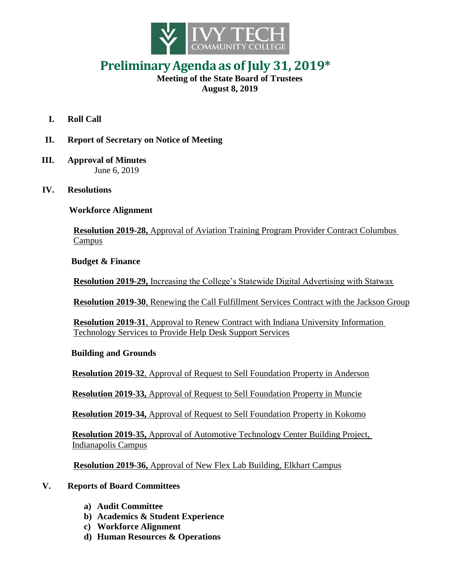

## **PreliminaryAgenda as of July 31, 2019\***

## **Meeting of the State Board of Trustees August 8, 2019**

- **I. Roll Call**
- **II. Report of Secretary on Notice of Meeting**
- **III. Approval of Minutes** June 6, 2019
- **IV. Resolutions**

 **Workforce Alignment**

**Resolution 2019-28,** Approval of Aviation Training Program Provider Contract Columbus Campus

 **Budget & Finance**

**Resolution 2019-29,** Increasing the College's Statewide Digital Advertising with Statwax

**Resolution 2019-30**, Renewing the Call Fulfillment Services Contract with the Jackson Group

**Resolution 2019-31**, Approval to Renew Contract with Indiana University Information Technology Services to Provide Help Desk Support Services

## **Building and Grounds**

**Resolution 2019-32**, Approval of Request to Sell Foundation Property in Anderson

**Resolution 2019-33,** Approval of Request to Sell Foundation Property in Muncie

**Resolution 2019-34,** Approval of Request to Sell Foundation Property in Kokomo

 **Resolution 2019-35,** Approval of Automotive Technology Center Building Project, Indianapolis Campus

**Resolution 2019-36,** Approval of New Flex Lab Building, Elkhart Campus

## **V. Reports of Board Committees**

- **a) Audit Committee**
- **b) Academics & Student Experience**
- **c) Workforce Alignment**
- **d) Human Resources & Operations**